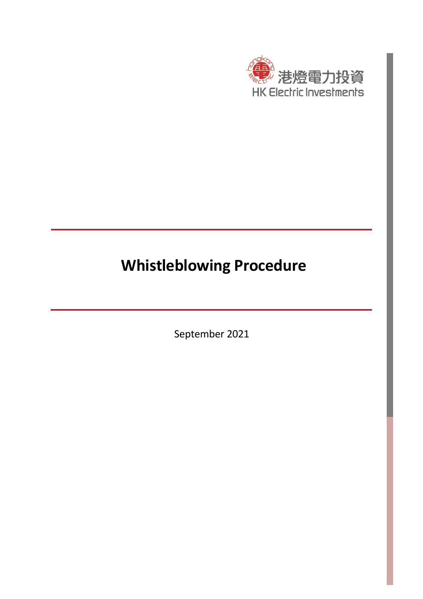

# **Whistleblowing Procedure**

September 2021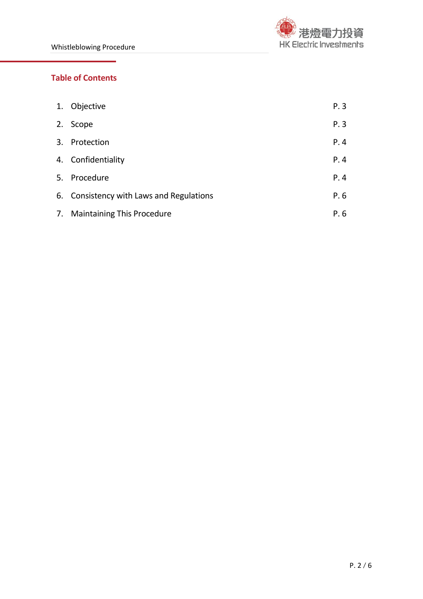

# **Table of Contents**

| 1. Objective                             | P.3  |
|------------------------------------------|------|
| 2. Scope                                 | P.3  |
| 3. Protection                            | P.4  |
| 4. Confidentiality                       | P.4  |
| 5. Procedure                             | P.4  |
| 6. Consistency with Laws and Regulations | P. 6 |
| 7. Maintaining This Procedure            | P. 6 |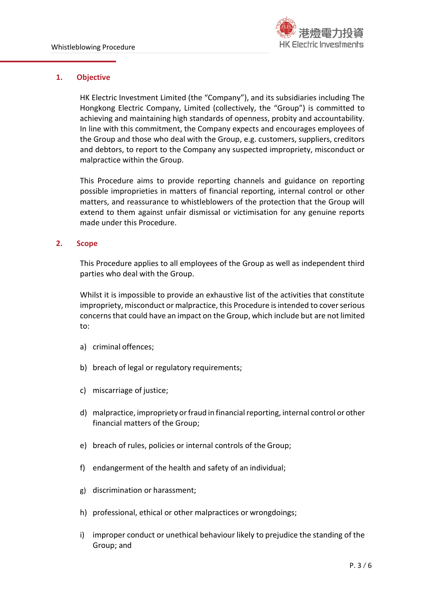

# **1. Objective**

HK Electric Investment Limited (the "Company"), and its subsidiaries including The Hongkong Electric Company, Limited (collectively, the "Group") is committed to achieving and maintaining high standards of openness, probity and accountability. In line with this commitment, the Company expects and encourages employees of the Group and those who deal with the Group, e.g. customers, suppliers, creditors and debtors, to report to the Company any suspected impropriety, misconduct or malpractice within the Group.

This Procedure aims to provide reporting channels and guidance on reporting possible improprieties in matters of financial reporting, internal control or other matters, and reassurance to whistleblowers of the protection that the Group will extend to them against unfair dismissal or victimisation for any genuine reports made under this Procedure.

## **2. Scope**

This Procedure applies to all employees of the Group as well as independent third parties who deal with the Group.

Whilst it is impossible to provide an exhaustive list of the activities that constitute impropriety, misconduct or malpractice, this Procedure is intended to cover serious concerns that could have an impact on the Group, which include but are not limited to:

- a) criminal offences;
- b) breach of legal or regulatory requirements;
- c) miscarriage of justice;
- d) malpractice, impropriety or fraud in financial reporting, internal control or other financial matters of the Group;
- e) breach of rules, policies or internal controls of the Group;
- f) endangerment of the health and safety of an individual;
- g) discrimination or harassment;
- h) professional, ethical or other malpractices or wrongdoings;
- i) improper conduct or unethical behaviour likely to prejudice the standing of the Group; and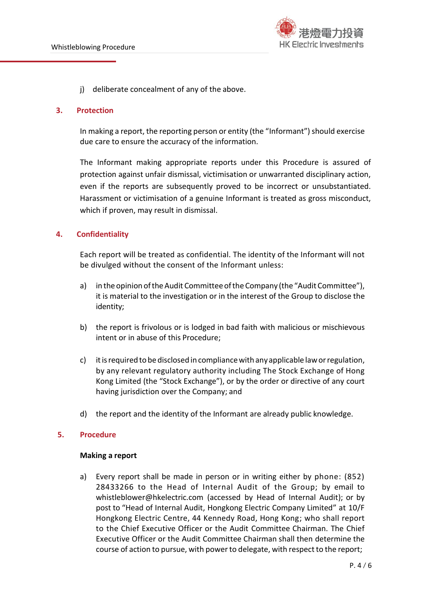

j) deliberate concealment of any of the above.

#### **3. Protection**

In making a report, the reporting person or entity (the "Informant") should exercise due care to ensure the accuracy of the information.

The Informant making appropriate reports under this Procedure is assured of protection against unfair dismissal, victimisation or unwarranted disciplinary action, even if the reports are subsequently proved to be incorrect or unsubstantiated. Harassment or victimisation of a genuine Informant is treated as gross misconduct, which if proven, may result in dismissal.

# **4. Confidentiality**

Each report will be treated as confidential. The identity of the Informant will not be divulged without the consent of the Informant unless:

- a) in the opinion of the Audit Committee of the Company (the "Audit Committee"), it is material to the investigation or in the interest of the Group to disclose the identity;
- b) the report is frivolous or is lodged in bad faith with malicious or mischievous intent or in abuse of this Procedure;
- c) itisrequired tobe disclosed in compliancewith anyapplicable laworregulation, by any relevant regulatory authority including The Stock Exchange of Hong Kong Limited (the "Stock Exchange"), or by the order or directive of any court having jurisdiction over the Company; and
- d) the report and the identity of the Informant are already public knowledge.

# **5. Procedure**

#### **Making a report**

a) Every report shall be made in person or in writing either by phone: (852) 28433266 to the Head of Internal Audit of the Group; by email to whistleblower@hkelectric.com (accessed by Head of Internal Audit); or by post to "Head of Internal Audit, Hongkong Electric Company Limited" at 10/F Hongkong Electric Centre, 44 Kennedy Road, Hong Kong; who shall report to the Chief Executive Officer or the Audit Committee Chairman. The Chief Executive Officer or the Audit Committee Chairman shall then determine the course of action to pursue, with powerto delegate, with respect to the report;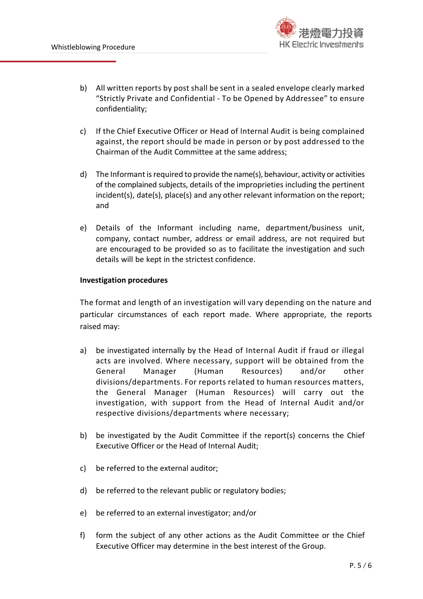

- b) All written reports by post shall be sent in a sealed envelope clearly marked "Strictly Private and Confidential - To be Opened by Addressee" to ensure confidentiality;
- c) If the Chief Executive Officer or Head of Internal Audit is being complained against, the report should be made in person or by post addressed to the Chairman of the Audit Committee at the same address;
- d) The Informant isrequired to provide the name(s), behaviour, activity or activities of the complained subjects, details of the improprieties including the pertinent incident(s), date(s), place(s) and any other relevant information on the report; and
- e) Details of the Informant including name, department/business unit, company, contact number, address or email address, are not required but are encouraged to be provided so as to facilitate the investigation and such details will be kept in the strictest confidence.

## **Investigation procedures**

The format and length of an investigation will vary depending on the nature and particular circumstances of each report made. Where appropriate, the reports raised may:

- a) be investigated internally by the Head of Internal Audit if fraud or illegal acts are involved. Where necessary, support will be obtained from the General Manager (Human Resources) and/or other divisions/departments. For reports related to human resources matters, the General Manager (Human Resources) will carry out the investigation, with support from the Head of Internal Audit and/or respective divisions/departments where necessary;
- b) be investigated by the Audit Committee if the report(s) concerns the Chief Executive Officer or the Head of Internal Audit;
- c) be referred to the external auditor;
- d) be referred to the relevant public or regulatory bodies;
- e) be referred to an external investigator; and/or
- f) form the subject of any other actions as the Audit Committee or the Chief Executive Officer may determine in the best interest of the Group.